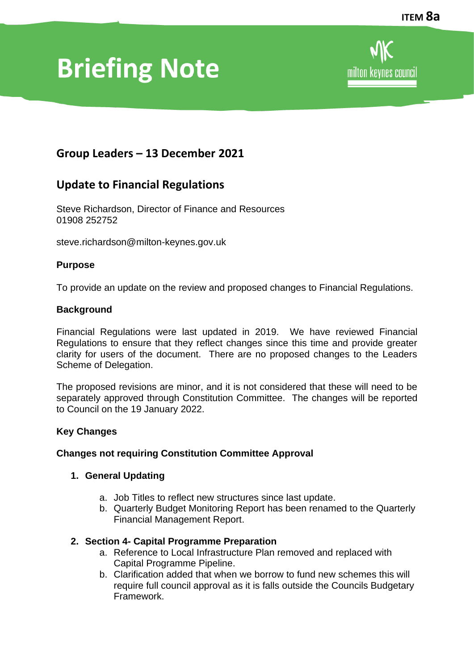# **Briefing Note**

# **Group Leaders – 13 December 2021**

## **Update to Financial Regulations**

Steve Richardson, Director of Finance and Resources 01908 252752

steve.richardson@milton-keynes.gov.uk

#### **Purpose**

To provide an update on the review and proposed changes to Financial Regulations.

#### **Background**

Financial Regulations were last updated in 2019. We have reviewed Financial Regulations to ensure that they reflect changes since this time and provide greater clarity for users of the document. There are no proposed changes to the Leaders Scheme of Delegation.

The proposed revisions are minor, and it is not considered that these will need to be separately approved through Constitution Committee. The changes will be reported to Council on the 19 January 2022.

#### **Key Changes**

## **Changes not requiring Constitution Committee Approval**

#### **1. General Updating**

- a. Job Titles to reflect new structures since last update.
- b. Quarterly Budget Monitoring Report has been renamed to the Quarterly Financial Management Report.

#### **2. Section 4- Capital Programme Preparation**

- a. Reference to Local Infrastructure Plan removed and replaced with Capital Programme Pipeline.
- b. Clarification added that when we borrow to fund new schemes this will require full council approval as it is falls outside the Councils Budgetary Framework.